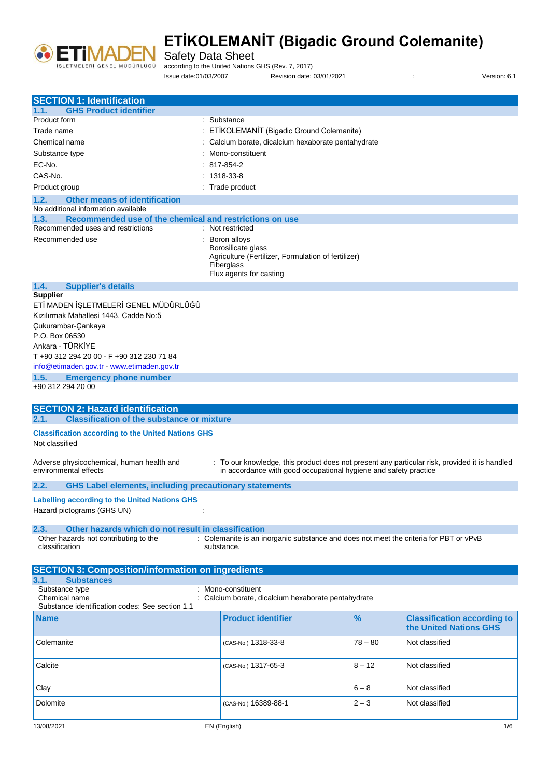

Safety Data Sheet

according to the United Nations GHS (Rev. 7, 2017)

Issue date:01/03/2007 Revision date: 03/01/2021 : Version: 6.1

| <b>SECTION 1: Identification</b><br><b>GHS Product identifier</b>                                    |                                                                                                                    |           |                                                              |
|------------------------------------------------------------------------------------------------------|--------------------------------------------------------------------------------------------------------------------|-----------|--------------------------------------------------------------|
| 1.1.                                                                                                 |                                                                                                                    |           |                                                              |
| Product form                                                                                         | : Substance                                                                                                        |           |                                                              |
| Trade name                                                                                           | : ETİKOLEMANİT (Bigadic Ground Colemanite)                                                                         |           |                                                              |
| Chemical name                                                                                        | : Calcium borate, dicalcium hexaborate pentahydrate                                                                |           |                                                              |
| Substance type                                                                                       | Mono-constituent                                                                                                   |           |                                                              |
| EC-No.                                                                                               | $: 817 - 854 - 2$                                                                                                  |           |                                                              |
| CAS-No.                                                                                              | $: 1318-33-8$                                                                                                      |           |                                                              |
| Product group                                                                                        | : Trade product                                                                                                    |           |                                                              |
| 1.2.<br><b>Other means of identification</b>                                                         |                                                                                                                    |           |                                                              |
| No additional information available                                                                  |                                                                                                                    |           |                                                              |
| 1.3.<br>Recommended use of the chemical and restrictions on use<br>Recommended uses and restrictions | : Not restricted                                                                                                   |           |                                                              |
| Recommended use                                                                                      | : Boron alloys                                                                                                     |           |                                                              |
|                                                                                                      | Borosilicate glass<br>Agriculture (Fertilizer, Formulation of fertilizer)<br>Fiberglass<br>Flux agents for casting |           |                                                              |
| 1.4.<br><b>Supplier's details</b>                                                                    |                                                                                                                    |           |                                                              |
| <b>Supplier</b><br>ETİ MADEN İŞLETMELERİ GENEL MÜDÜRLÜĞÜ                                             |                                                                                                                    |           |                                                              |
| Kızılırmak Mahallesi 1443, Cadde No:5                                                                |                                                                                                                    |           |                                                              |
| Cukurambar-Cankaya                                                                                   |                                                                                                                    |           |                                                              |
| P.O. Box 06530                                                                                       |                                                                                                                    |           |                                                              |
| Ankara - TÜRKİYE                                                                                     |                                                                                                                    |           |                                                              |
| T +90 312 294 20 00 - F +90 312 230 71 84                                                            |                                                                                                                    |           |                                                              |
| info@etimaden.gov.tr - www.etimaden.gov.tr                                                           |                                                                                                                    |           |                                                              |
| 1.5.<br><b>Emergency phone number</b>                                                                |                                                                                                                    |           |                                                              |
| +90 312 294 20 00                                                                                    |                                                                                                                    |           |                                                              |
|                                                                                                      |                                                                                                                    |           |                                                              |
| <b>SECTION 2: Hazard identification</b>                                                              |                                                                                                                    |           |                                                              |
| <b>Classification of the substance or mixture</b><br>2.1.                                            |                                                                                                                    |           |                                                              |
| <b>Classification according to the United Nations GHS</b>                                            |                                                                                                                    |           |                                                              |
| Not classified                                                                                       |                                                                                                                    |           |                                                              |
| Adverse physicochemical, human health and                                                            | : To our knowledge, this product does not present any particular risk, provided it is handled                      |           |                                                              |
| environmental effects                                                                                |                                                                                                                    |           |                                                              |
|                                                                                                      | in accordance with good occupational hygiene and safety practice                                                   |           |                                                              |
| <b>GHS Label elements, including precautionary statements</b><br>2.2.                                |                                                                                                                    |           |                                                              |
|                                                                                                      |                                                                                                                    |           |                                                              |
| <b>Labelling according to the United Nations GHS</b>                                                 |                                                                                                                    |           |                                                              |
| Hazard pictograms (GHS UN)                                                                           |                                                                                                                    |           |                                                              |
| 2.3.<br>Other hazards which do not result in classification                                          |                                                                                                                    |           |                                                              |
| Other hazards not contributing to the                                                                | : Colemanite is an inorganic substance and does not meet the criteria for PBT or vPvB                              |           |                                                              |
| classification                                                                                       | substance.                                                                                                         |           |                                                              |
|                                                                                                      |                                                                                                                    |           |                                                              |
| <b>SECTION 3: Composition/information on ingredients</b>                                             |                                                                                                                    |           |                                                              |
| 3.1.<br><b>Substances</b>                                                                            |                                                                                                                    |           |                                                              |
| Substance type                                                                                       | : Mono-constituent                                                                                                 |           |                                                              |
| Chemical name<br>Substance identification codes: See section 1.1                                     | Calcium borate, dicalcium hexaborate pentahydrate                                                                  |           |                                                              |
| <b>Name</b>                                                                                          | <b>Product identifier</b>                                                                                          | %         | <b>Classification according to</b><br>the United Nations GHS |
| Colemanite                                                                                           | (CAS-No.) 1318-33-8                                                                                                | $78 - 80$ | Not classified                                               |
| Calcite                                                                                              | (CAS-No.) 1317-65-3                                                                                                | $8 - 12$  | Not classified                                               |
| Clay                                                                                                 |                                                                                                                    | $6 - 8$   | Not classified                                               |
| Dolomite                                                                                             | (CAS-No.) 16389-88-1                                                                                               | $2 - 3$   | Not classified                                               |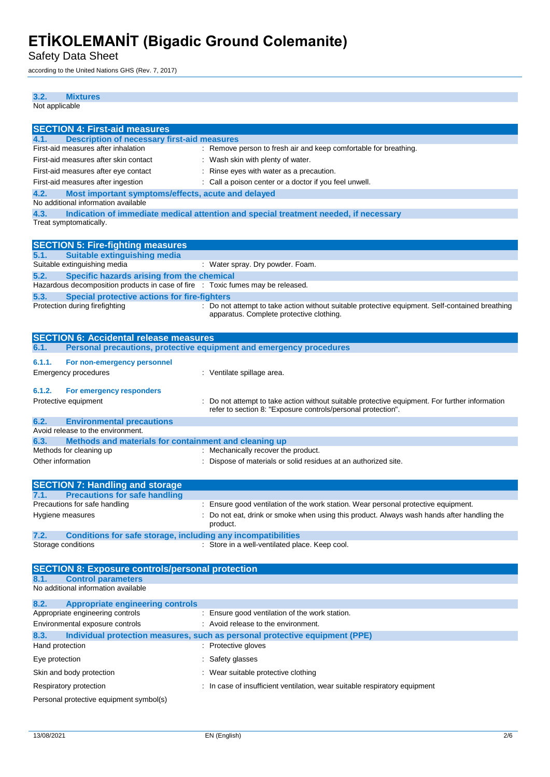Safety Data Sheet

according to the United Nations GHS (Rev. 7, 2017)

| 3.2.<br><b>Mixtures</b>                                                                                                               |                                                                                                      |
|---------------------------------------------------------------------------------------------------------------------------------------|------------------------------------------------------------------------------------------------------|
| Not applicable                                                                                                                        |                                                                                                      |
| <b>SECTION 4: First-aid measures</b>                                                                                                  |                                                                                                      |
| <b>Description of necessary first-aid measures</b><br>4.1.<br>First-aid measures after inhalation                                     | : Remove person to fresh air and keep comfortable for breathing.                                     |
| First-aid measures after skin contact                                                                                                 | : Wash skin with plenty of water.                                                                    |
| First-aid measures after eye contact                                                                                                  | : Rinse eyes with water as a precaution.                                                             |
| First-aid measures after ingestion                                                                                                    | : Call a poison center or a doctor if you feel unwell.                                               |
| 4.2.<br>Most important symptoms/effects, acute and delayed                                                                            |                                                                                                      |
| No additional information available                                                                                                   |                                                                                                      |
| 4.3.<br>Treat symptomatically.                                                                                                        | Indication of immediate medical attention and special treatment needed, if necessary                 |
|                                                                                                                                       |                                                                                                      |
| <b>SECTION 5: Fire-fighting measures</b>                                                                                              |                                                                                                      |
| 5.1.<br><b>Suitable extinguishing media</b>                                                                                           |                                                                                                      |
| Suitable extinguishing media                                                                                                          | : Water spray. Dry powder. Foam.                                                                     |
| 5.2.<br>Specific hazards arising from the chemical<br>Hazardous decomposition products in case of fire : Toxic fumes may be released. |                                                                                                      |
| 5.3.<br><b>Special protective actions for fire-fighters</b>                                                                           |                                                                                                      |
| Protection during firefighting                                                                                                        | : Do not attempt to take action without suitable protective equipment. Self-contained breathing      |
|                                                                                                                                       | apparatus. Complete protective clothing.                                                             |
|                                                                                                                                       |                                                                                                      |
| <b>SECTION 6: Accidental release measures</b>                                                                                         |                                                                                                      |
| 6.1.                                                                                                                                  | Personal precautions, protective equipment and emergency procedures                                  |
| 6.1.1.<br>For non-emergency personnel                                                                                                 |                                                                                                      |
| <b>Emergency procedures</b>                                                                                                           | : Ventilate spillage area.                                                                           |
| 6.1.2.<br>For emergency responders                                                                                                    |                                                                                                      |
| Protective equipment                                                                                                                  | Do not attempt to take action without suitable protective equipment. For further information         |
|                                                                                                                                       | refer to section 8: "Exposure controls/personal protection".                                         |
| 6.2.<br><b>Environmental precautions</b>                                                                                              |                                                                                                      |
| Avoid release to the environment.                                                                                                     |                                                                                                      |
| 6.3.<br>Methods and materials for containment and cleaning up<br>Methods for cleaning up                                              | : Mechanically recover the product.                                                                  |
| Other information                                                                                                                     | : Dispose of materials or solid residues at an authorized site.                                      |
|                                                                                                                                       |                                                                                                      |
| <b>SECTION 7: Handling and storage</b>                                                                                                |                                                                                                      |
| 7.1<br><b>Precautions for safe handling</b>                                                                                           |                                                                                                      |
| Precautions for safe handling                                                                                                         | : Ensure good ventilation of the work station. Wear personal protective equipment.                   |
| Hygiene measures                                                                                                                      | Do not eat, drink or smoke when using this product. Always wash hands after handling the<br>product. |
| 7.2.<br><b>Conditions for safe storage, including any incompatibilities</b>                                                           |                                                                                                      |
| Storage conditions                                                                                                                    | : Store in a well-ventilated place. Keep cool.                                                       |
|                                                                                                                                       |                                                                                                      |
| <b>SECTION 8: Exposure controls/personal protection</b>                                                                               |                                                                                                      |
| <b>Control parameters</b><br>8.1.                                                                                                     |                                                                                                      |
| No additional information available                                                                                                   |                                                                                                      |
| 8.2.<br><b>Appropriate engineering controls</b>                                                                                       |                                                                                                      |
| Appropriate engineering controls                                                                                                      | Ensure good ventilation of the work station.                                                         |
| Environmental exposure controls                                                                                                       | : Avoid release to the environment.                                                                  |
| 8.3.                                                                                                                                  | Individual protection measures, such as personal protective equipment (PPE)                          |
| Hand protection                                                                                                                       | : Protective gloves                                                                                  |
| Eye protection                                                                                                                        | Safety glasses                                                                                       |
| Skin and body protection                                                                                                              | Wear suitable protective clothing                                                                    |

Personal protective equipment symbol(s)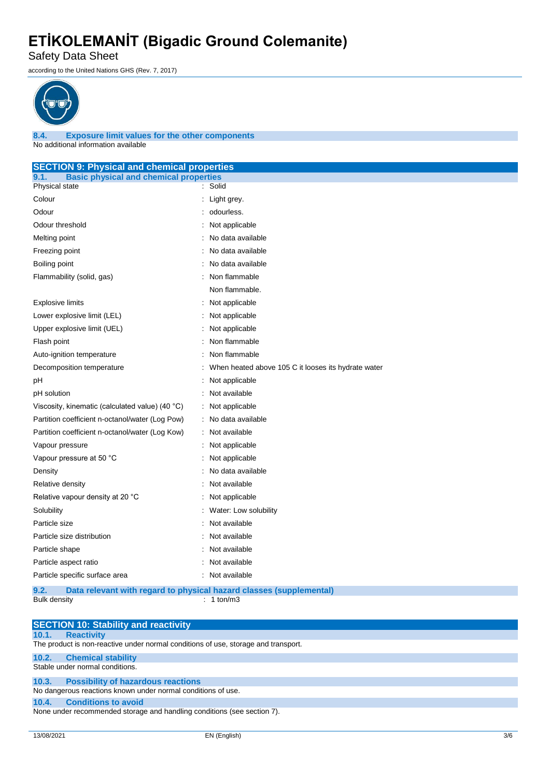Safety Data Sheet

according to the United Nations GHS (Rev. 7, 2017)



**8.4. Exposure limit values for the other components** No additional information available

| <b>SECTION 9: Physical and chemical properties</b>    |                                                                     |
|-------------------------------------------------------|---------------------------------------------------------------------|
| <b>Basic physical and chemical properties</b><br>9.1. |                                                                     |
| Physical state                                        | : Solid                                                             |
| Colour                                                | : Light grey.                                                       |
| Odour                                                 | odourless.                                                          |
| Odour threshold                                       | Not applicable                                                      |
| Melting point                                         | No data available                                                   |
| Freezing point                                        | No data available                                                   |
| Boiling point                                         | No data available                                                   |
| Flammability (solid, gas)                             | Non flammable                                                       |
|                                                       | Non flammable.                                                      |
| <b>Explosive limits</b>                               | : Not applicable                                                    |
| Lower explosive limit (LEL)                           | Not applicable                                                      |
| Upper explosive limit (UEL)                           | : Not applicable                                                    |
| Flash point                                           | Non flammable                                                       |
| Auto-ignition temperature                             | Non flammable                                                       |
| Decomposition temperature                             | When heated above 105 C it looses its hydrate water                 |
| pН                                                    | Not applicable                                                      |
| pH solution                                           | Not available                                                       |
| Viscosity, kinematic (calculated value) (40 °C)       | : Not applicable                                                    |
| Partition coefficient n-octanol/water (Log Pow)       | : No data available                                                 |
| Partition coefficient n-octanol/water (Log Kow)       | : Not available                                                     |
| Vapour pressure                                       | : Not applicable                                                    |
| Vapour pressure at 50 °C                              | Not applicable                                                      |
| Density                                               | No data available                                                   |
| Relative density                                      | Not available                                                       |
| Relative vapour density at 20 °C                      | Not applicable                                                      |
| Solubility                                            | Water: Low solubility                                               |
| Particle size                                         | Not available                                                       |
| Particle size distribution                            | Not available                                                       |
| Particle shape                                        | Not available                                                       |
| Particle aspect ratio                                 | Not available                                                       |
| Particle specific surface area                        | : Not available                                                     |
| 9.2.                                                  | Data relevant with regard to physical hazard classes (supplemental) |
| <b>Bulk density</b>                                   | $: 1$ ton/m3                                                        |

|       | <b>SECTION 10: Stability and reactivity</b>                                        |
|-------|------------------------------------------------------------------------------------|
| 10.1. | <b>Reactivity</b>                                                                  |
|       | The product is non-reactive under normal conditions of use, storage and transport. |
|       | 10.2. Chemical stability                                                           |
|       | Stable under normal conditions.                                                    |
|       | 10.3. Possibility of hazardous reactions                                           |
|       | No dangerous reactions known under normal conditions of use.                       |
| 10.4. | <b>Conditions to avoid</b>                                                         |
|       | None under recommended storage and handling conditions (see section 7).            |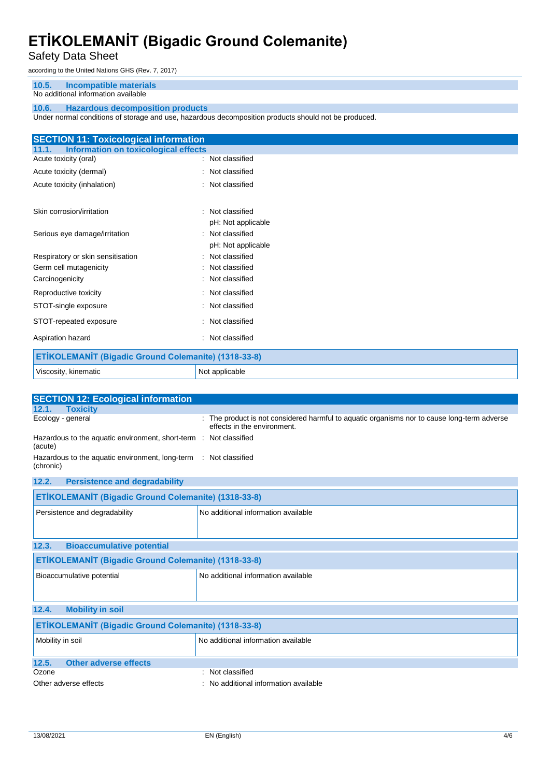Safety Data Sheet

according to the United Nations GHS (Rev. 7, 2017)

#### **10.5. Incompatible materials**

### No additional information available

### **10.6. Hazardous decomposition products**

Under normal conditions of storage and use, hazardous decomposition products should not be produced.

| <b>SECTION 11: Toxicological information</b>         |                    |  |
|------------------------------------------------------|--------------------|--|
| <b>Information on toxicological effects</b><br>11.1. |                    |  |
| Acute toxicity (oral)                                | : Not classified   |  |
| Acute toxicity (dermal)                              | Not classified     |  |
| Acute toxicity (inhalation)                          | : Not classified   |  |
| Skin corrosion/irritation                            | : Not classified   |  |
|                                                      | pH: Not applicable |  |
| Serious eye damage/irritation                        | : Not classified   |  |
|                                                      | pH: Not applicable |  |
| Respiratory or skin sensitisation                    | : Not classified   |  |
| Germ cell mutagenicity                               | Not classified     |  |
| Carcinogenicity                                      | Not classified     |  |
| Reproductive toxicity                                | : Not classified   |  |
| STOT-single exposure                                 | : Not classified   |  |
| STOT-repeated exposure                               | : Not classified   |  |
| Aspiration hazard                                    | : Not classified   |  |
| ETİKOLEMANİT (Bigadic Ground Colemanite) (1318-33-8) |                    |  |
| Viscosity, kinematic                                 | Not applicable     |  |
|                                                      |                    |  |

| <b>SECTION 12: Ecological information</b>                                     |                                                                                                                            |  |  |
|-------------------------------------------------------------------------------|----------------------------------------------------------------------------------------------------------------------------|--|--|
| 12.1.<br><b>Toxicity</b>                                                      |                                                                                                                            |  |  |
| Ecology - general                                                             | : The product is not considered harmful to aquatic organisms nor to cause long-term adverse<br>effects in the environment. |  |  |
| Hazardous to the aquatic environment, short-term : Not classified<br>(acute)  |                                                                                                                            |  |  |
| Hazardous to the aquatic environment, long-term : Not classified<br>(chronic) |                                                                                                                            |  |  |
| 12.2.<br><b>Persistence and degradability</b>                                 |                                                                                                                            |  |  |
| ETİKOLEMANİT (Bigadic Ground Colemanite) (1318-33-8)                          |                                                                                                                            |  |  |
| Persistence and degradability                                                 | No additional information available                                                                                        |  |  |
| 12.3.<br><b>Bioaccumulative potential</b>                                     |                                                                                                                            |  |  |
| ETİKOLEMANİT (Bigadic Ground Colemanite) (1318-33-8)                          |                                                                                                                            |  |  |
| Bioaccumulative potential                                                     | No additional information available                                                                                        |  |  |
| 12.4.<br><b>Mobility in soil</b>                                              |                                                                                                                            |  |  |
| ETİKOLEMANİT (Bigadic Ground Colemanite) (1318-33-8)                          |                                                                                                                            |  |  |
| Mobility in soil                                                              | No additional information available                                                                                        |  |  |
| <b>Other adverse effects</b><br>12.5.                                         |                                                                                                                            |  |  |
| Ozone                                                                         | Not classified                                                                                                             |  |  |
| Other adverse effects                                                         | : No additional information available                                                                                      |  |  |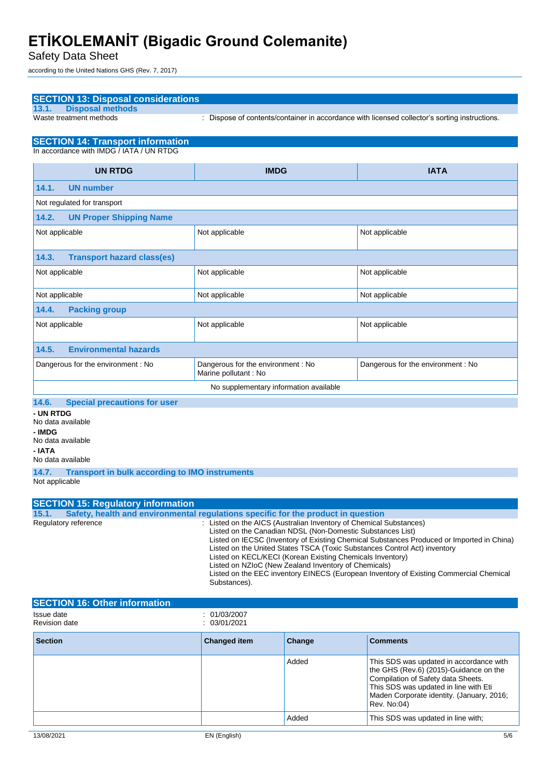Safety Data Sheet

according to the United Nations GHS (Rev. 7, 2017)

|                                                                                                                                                                                                                                                                                                                                                                                                                                                                                                                                                                                                                                                                 | <b>SECTION 13: Disposal considerations</b>                                           |                                                           |        |                                                                                                                                                                                                                              |
|-----------------------------------------------------------------------------------------------------------------------------------------------------------------------------------------------------------------------------------------------------------------------------------------------------------------------------------------------------------------------------------------------------------------------------------------------------------------------------------------------------------------------------------------------------------------------------------------------------------------------------------------------------------------|--------------------------------------------------------------------------------------|-----------------------------------------------------------|--------|------------------------------------------------------------------------------------------------------------------------------------------------------------------------------------------------------------------------------|
| 13.1.                                                                                                                                                                                                                                                                                                                                                                                                                                                                                                                                                                                                                                                           | <b>Disposal methods</b>                                                              |                                                           |        |                                                                                                                                                                                                                              |
|                                                                                                                                                                                                                                                                                                                                                                                                                                                                                                                                                                                                                                                                 | Waste treatment methods                                                              |                                                           |        | : Dispose of contents/container in accordance with licensed collector's sorting instructions.                                                                                                                                |
|                                                                                                                                                                                                                                                                                                                                                                                                                                                                                                                                                                                                                                                                 | <b>SECTION 14: Transport information</b><br>In accordance with IMDG / IATA / UN RTDG |                                                           |        |                                                                                                                                                                                                                              |
|                                                                                                                                                                                                                                                                                                                                                                                                                                                                                                                                                                                                                                                                 |                                                                                      |                                                           |        |                                                                                                                                                                                                                              |
|                                                                                                                                                                                                                                                                                                                                                                                                                                                                                                                                                                                                                                                                 | <b>UN RTDG</b>                                                                       | <b>IMDG</b>                                               |        | <b>IATA</b>                                                                                                                                                                                                                  |
| 14.1.                                                                                                                                                                                                                                                                                                                                                                                                                                                                                                                                                                                                                                                           | <b>UN number</b>                                                                     |                                                           |        |                                                                                                                                                                                                                              |
|                                                                                                                                                                                                                                                                                                                                                                                                                                                                                                                                                                                                                                                                 | Not regulated for transport                                                          |                                                           |        |                                                                                                                                                                                                                              |
| 14.2.                                                                                                                                                                                                                                                                                                                                                                                                                                                                                                                                                                                                                                                           | <b>UN Proper Shipping Name</b>                                                       |                                                           |        |                                                                                                                                                                                                                              |
| Not applicable                                                                                                                                                                                                                                                                                                                                                                                                                                                                                                                                                                                                                                                  |                                                                                      | Not applicable                                            |        | Not applicable                                                                                                                                                                                                               |
| 14.3.                                                                                                                                                                                                                                                                                                                                                                                                                                                                                                                                                                                                                                                           | <b>Transport hazard class(es)</b>                                                    |                                                           |        |                                                                                                                                                                                                                              |
| Not applicable                                                                                                                                                                                                                                                                                                                                                                                                                                                                                                                                                                                                                                                  |                                                                                      | Not applicable                                            |        | Not applicable                                                                                                                                                                                                               |
| Not applicable                                                                                                                                                                                                                                                                                                                                                                                                                                                                                                                                                                                                                                                  |                                                                                      | Not applicable                                            |        | Not applicable                                                                                                                                                                                                               |
| 14.4.                                                                                                                                                                                                                                                                                                                                                                                                                                                                                                                                                                                                                                                           | <b>Packing group</b>                                                                 |                                                           |        |                                                                                                                                                                                                                              |
| Not applicable                                                                                                                                                                                                                                                                                                                                                                                                                                                                                                                                                                                                                                                  |                                                                                      | Not applicable                                            |        | Not applicable                                                                                                                                                                                                               |
| 14.5.                                                                                                                                                                                                                                                                                                                                                                                                                                                                                                                                                                                                                                                           | <b>Environmental hazards</b>                                                         |                                                           |        |                                                                                                                                                                                                                              |
|                                                                                                                                                                                                                                                                                                                                                                                                                                                                                                                                                                                                                                                                 | Dangerous for the environment: No                                                    | Dangerous for the environment: No<br>Marine pollutant: No |        | Dangerous for the environment: No                                                                                                                                                                                            |
|                                                                                                                                                                                                                                                                                                                                                                                                                                                                                                                                                                                                                                                                 |                                                                                      | No supplementary information available                    |        |                                                                                                                                                                                                                              |
| - UN RTDG<br>- IMDG<br>- IATA                                                                                                                                                                                                                                                                                                                                                                                                                                                                                                                                                                                                                                   | No data available<br>No data available<br>No data available                          |                                                           |        |                                                                                                                                                                                                                              |
| 14.7.<br>Not applicable                                                                                                                                                                                                                                                                                                                                                                                                                                                                                                                                                                                                                                         | <b>Transport in bulk according to IMO instruments</b>                                |                                                           |        |                                                                                                                                                                                                                              |
|                                                                                                                                                                                                                                                                                                                                                                                                                                                                                                                                                                                                                                                                 |                                                                                      |                                                           |        |                                                                                                                                                                                                                              |
|                                                                                                                                                                                                                                                                                                                                                                                                                                                                                                                                                                                                                                                                 | <b>SECTION 15: Regulatory information</b>                                            |                                                           |        |                                                                                                                                                                                                                              |
| Safety, health and environmental regulations specific for the product in question<br>15.1.<br>Regulatory reference<br>: Listed on the AICS (Australian Inventory of Chemical Substances)<br>Listed on the Canadian NDSL (Non-Domestic Substances List)<br>Listed on IECSC (Inventory of Existing Chemical Substances Produced or Imported in China)<br>Listed on the United States TSCA (Toxic Substances Control Act) inventory<br>Listed on KECL/KECI (Korean Existing Chemicals Inventory)<br>Listed on NZIoC (New Zealand Inventory of Chemicals)<br>Listed on the EEC inventory EINECS (European Inventory of Existing Commercial Chemical<br>Substances). |                                                                                      |                                                           |        |                                                                                                                                                                                                                              |
|                                                                                                                                                                                                                                                                                                                                                                                                                                                                                                                                                                                                                                                                 | <b>SECTION 16: Other information</b>                                                 |                                                           |        |                                                                                                                                                                                                                              |
| Issue date<br><b>Revision date</b>                                                                                                                                                                                                                                                                                                                                                                                                                                                                                                                                                                                                                              |                                                                                      | : 01/03/2007<br>: 03/01/2021                              |        |                                                                                                                                                                                                                              |
| <b>Section</b>                                                                                                                                                                                                                                                                                                                                                                                                                                                                                                                                                                                                                                                  |                                                                                      | <b>Changed item</b>                                       | Change | <b>Comments</b>                                                                                                                                                                                                              |
|                                                                                                                                                                                                                                                                                                                                                                                                                                                                                                                                                                                                                                                                 |                                                                                      |                                                           | Added  | This SDS was updated in accordance with<br>the GHS (Rev.6) (2015)-Guidance on the<br>Compilation of Safety data Sheets.<br>This SDS was updated in line with Eti<br>Maden Corporate identity. (January, 2016;<br>Rev. No:04) |
|                                                                                                                                                                                                                                                                                                                                                                                                                                                                                                                                                                                                                                                                 |                                                                                      |                                                           | Added  | This SDS was updated in line with;                                                                                                                                                                                           |